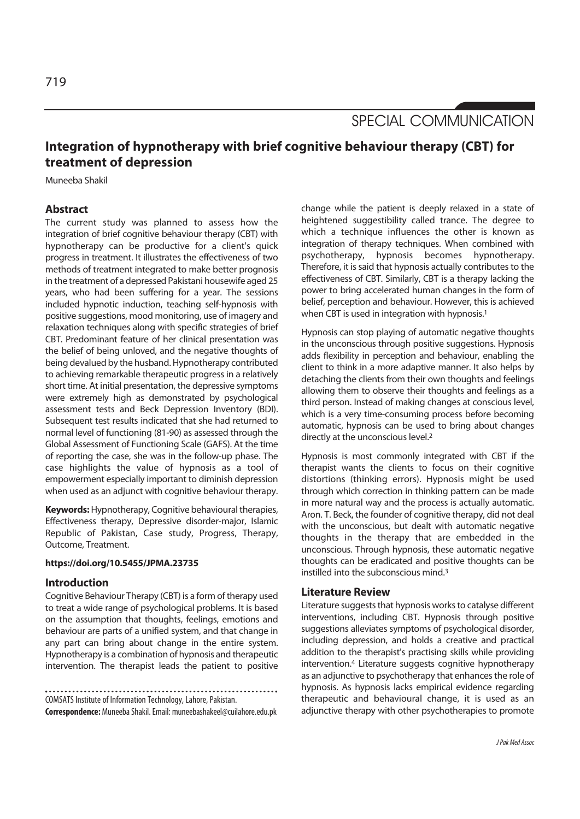SPECIAL COMMUNICATION

# **Integration of hypnotherapy with brief cognitive behaviour therapy (CBT) for treatment of depression**

Muneeba Shakil

# **Abstract**

The current study was planned to assess how the integration of brief cognitive behaviour therapy (CBT) with hypnotherapy can be productive for a client's quick progress in treatment. It illustrates the effectiveness of two methods of treatment integrated to make better prognosis in the treatment of a depressed Pakistani housewife aged 25 years, who had been suffering for a year. The sessions included hypnotic induction, teaching self-hypnosis with positive suggestions, mood monitoring, use of imagery and relaxation techniques along with specific strategies of brief CBT. Predominant feature of her clinical presentation was the belief of being unloved, and the negative thoughts of being devalued by the husband. Hypnotherapy contributed to achieving remarkable therapeutic progress in a relatively short time. At initial presentation, the depressive symptoms were extremely high as demonstrated by psychological assessment tests and Beck Depression Inventory (BDI). Subsequent test results indicated that she had returned to normal level of functioning (81-90) as assessed through the Global Assessment of Functioning Scale (GAFS). At the time of reporting the case, she was in the follow-up phase. The case highlights the value of hypnosis as a tool of empowerment especially important to diminish depression when used as an adjunct with cognitive behaviour therapy.

**Keywords:** Hypnotherapy, Cognitive behavioural therapies, Effectiveness therapy, Depressive disorder-major, Islamic Republic of Pakistan, Case study, Progress, Therapy, Outcome, Treatment.

### **https://doi.org/10.5455/JPMA.23735**

#### **Introduction**

Cognitive Behaviour Therapy (CBT) is a form of therapy used to treat a wide range of psychological problems. It is based on the assumption that thoughts, feelings, emotions and behaviour are parts of a unified system, and that change in any part can bring about change in the entire system. Hypnotherapy is a combination of hypnosis and therapeutic intervention. The therapist leads the patient to positive

COMSATS Institute of Information Technology, Lahore, Pakistan.

**Correspondence:** Muneeba Shakil. Email: muneebashakeel@cuilahore.edu.pk

change while the patient is deeply relaxed in a state of heightened suggestibility called trance. The degree to which a technique influences the other is known as integration of therapy techniques. When combined with psychotherapy, hypnosis becomes hypnotherapy. Therefore, it is said that hypnosis actually contributes to the effectiveness of CBT. Similarly, CBT is a therapy lacking the power to bring accelerated human changes in the form of belief, perception and behaviour. However, this is achieved when CBT is used in integration with hypnosis.<sup>1</sup>

Hypnosis can stop playing of automatic negative thoughts in the unconscious through positive suggestions. Hypnosis adds flexibility in perception and behaviour, enabling the client to think in a more adaptive manner. It also helps by detaching the clients from their own thoughts and feelings allowing them to observe their thoughts and feelings as a third person. Instead of making changes at conscious level, which is a very time-consuming process before becoming automatic, hypnosis can be used to bring about changes directly at the unconscious level.2

Hypnosis is most commonly integrated with CBT if the therapist wants the clients to focus on their cognitive distortions (thinking errors). Hypnosis might be used through which correction in thinking pattern can be made in more natural way and the process is actually automatic. Aron. T. Beck, the founder of cognitive therapy, did not deal with the unconscious, but dealt with automatic negative thoughts in the therapy that are embedded in the unconscious. Through hypnosis, these automatic negative thoughts can be eradicated and positive thoughts can be instilled into the subconscious mind.3

### **Literature Review**

Literature suggests that hypnosis works to catalyse different interventions, including CBT. Hypnosis through positive suggestions alleviates symptoms of psychological disorder, including depression, and holds a creative and practical addition to the therapist's practising skills while providing intervention.4 Literature suggests cognitive hypnotherapy as an adjunctive to psychotherapy that enhances the role of hypnosis. As hypnosis lacks empirical evidence regarding therapeutic and behavioural change, it is used as an adjunctive therapy with other psychotherapies to promote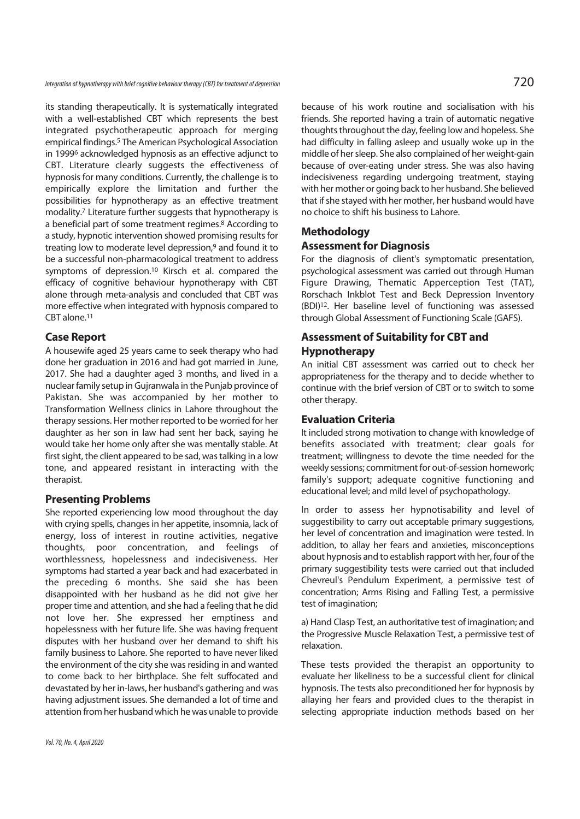Integration of hypnotherapy with brief cognitive behaviour therapy (CBT) for treatment of depression  $720$ 

its standing therapeutically. It is systematically integrated with a well-established CBT which represents the best integrated psychotherapeutic approach for merging empirical findings.5 The American Psychological Association in 19996 acknowledged hypnosis as an effective adjunct to CBT. Literature clearly suggests the effectiveness of hypnosis for many conditions. Currently, the challenge is to empirically explore the limitation and further the possibilities for hypnotherapy as an effective treatment modality.7 Literature further suggests that hypnotherapy is a beneficial part of some treatment regimes.8 According to a study, hypnotic intervention showed promising results for treating low to moderate level depression,9 and found it to be a successful non-pharmacological treatment to address symptoms of depression.10 Kirsch et al. compared the efficacy of cognitive behaviour hypnotherapy with CBT alone through meta-analysis and concluded that CBT was more effective when integrated with hypnosis compared to CBT alone.11

### **Case Report**

A housewife aged 25 years came to seek therapy who had done her graduation in 2016 and had got married in June, 2017. She had a daughter aged 3 months, and lived in a nuclear family setup in Gujranwala in the Punjab province of Pakistan. She was accompanied by her mother to Transformation Wellness clinics in Lahore throughout the therapy sessions. Her mother reported to be worried for her daughter as her son in law had sent her back, saying he would take her home only after she was mentally stable. At first sight, the client appeared to be sad, was talking in a low tone, and appeared resistant in interacting with the therapist.

### **Presenting Problems**

She reported experiencing low mood throughout the day with crying spells, changes in her appetite, insomnia, lack of energy, loss of interest in routine activities, negative thoughts, poor concentration, and feelings of worthlessness, hopelessness and indecisiveness. Her symptoms had started a year back and had exacerbated in the preceding 6 months. She said she has been disappointed with her husband as he did not give her proper time and attention, and she had a feeling that he did not love her. She expressed her emptiness and hopelessness with her future life. She was having frequent disputes with her husband over her demand to shift his family business to Lahore. She reported to have never liked the environment of the city she was residing in and wanted to come back to her birthplace. She felt suffocated and devastated by her in-laws, her husband's gathering and was having adjustment issues. She demanded a lot of time and attention from her husband which he was unable to provide because of his work routine and socialisation with his friends. She reported having a train of automatic negative thoughts throughout the day, feeling low and hopeless. She had difficulty in falling asleep and usually woke up in the middle of her sleep. She also complained of her weight-gain because of over-eating under stress. She was also having indecisiveness regarding undergoing treatment, staying with her mother or going back to her husband. She believed that if she stayed with her mother, her husband would have no choice to shift his business to Lahore.

## **Methodology**

## **Assessment for Diagnosis**

For the diagnosis of client's symptomatic presentation, psychological assessment was carried out through Human Figure Drawing, Thematic Apperception Test (TAT), Rorschach Inkblot Test and Beck Depression Inventory (BDI)<sup>12</sup>. Her baseline level of functioning was assessed through Global Assessment of Functioning Scale (GAFS).

# **Assessment of Suitability for CBT and Hypnotherapy**

An initial CBT assessment was carried out to check her appropriateness for the therapy and to decide whether to continue with the brief version of CBT or to switch to some other therapy.

## **Evaluation Criteria**

It included strong motivation to change with knowledge of benefits associated with treatment; clear goals for treatment; willingness to devote the time needed for the weekly sessions; commitment for out-of-session homework; family's support; adequate cognitive functioning and educational level; and mild level of psychopathology.

In order to assess her hypnotisability and level of suggestibility to carry out acceptable primary suggestions, her level of concentration and imagination were tested. In addition, to allay her fears and anxieties, misconceptions about hypnosis and to establish rapport with her, four of the primary suggestibility tests were carried out that included Chevreul's Pendulum Experiment, a permissive test of concentration; Arms Rising and Falling Test, a permissive test of imagination;

a) Hand Clasp Test, an authoritative test of imagination; and the Progressive Muscle Relaxation Test, a permissive test of relaxation.

These tests provided the therapist an opportunity to evaluate her likeliness to be a successful client for clinical hypnosis. The tests also preconditioned her for hypnosis by allaying her fears and provided clues to the therapist in selecting appropriate induction methods based on her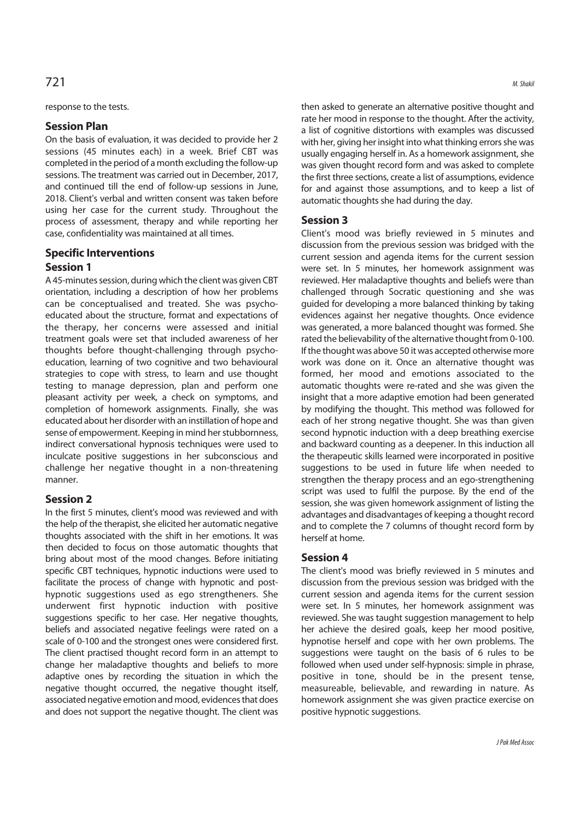# $721$  M. Shaki.

### response to the tests.

## **Session Plan**

On the basis of evaluation, it was decided to provide her 2 sessions (45 minutes each) in a week. Brief CBT was completed in the period of a month excluding the follow-up sessions. The treatment was carried out in December, 2017, and continued till the end of follow-up sessions in June, 2018. Client's verbal and written consent was taken before using her case for the current study. Throughout the process of assessment, therapy and while reporting her case, confidentiality was maintained at all times.

# **Specific Interventions Session 1**

A 45-minutes session, during which the client was given CBT orientation, including a description of how her problems can be conceptualised and treated. She was psychoeducated about the structure, format and expectations of the therapy, her concerns were assessed and initial treatment goals were set that included awareness of her thoughts before thought-challenging through psychoeducation, learning of two cognitive and two behavioural strategies to cope with stress, to learn and use thought testing to manage depression, plan and perform one pleasant activity per week, a check on symptoms, and completion of homework assignments. Finally, she was educated about her disorder with an instillation of hope and sense of empowerment. Keeping in mind her stubbornness, indirect conversational hypnosis techniques were used to inculcate positive suggestions in her subconscious and challenge her negative thought in a non-threatening manner.

## **Session 2**

In the first 5 minutes, client's mood was reviewed and with the help of the therapist, she elicited her automatic negative thoughts associated with the shift in her emotions. It was then decided to focus on those automatic thoughts that bring about most of the mood changes. Before initiating specific CBT techniques, hypnotic inductions were used to facilitate the process of change with hypnotic and posthypnotic suggestions used as ego strengtheners. She underwent first hypnotic induction with positive suggestions specific to her case. Her negative thoughts, beliefs and associated negative feelings were rated on a scale of 0-100 and the strongest ones were considered first. The client practised thought record form in an attempt to change her maladaptive thoughts and beliefs to more adaptive ones by recording the situation in which the negative thought occurred, the negative thought itself, associated negative emotion and mood, evidences that does and does not support the negative thought. The client was then asked to generate an alternative positive thought and rate her mood in response to the thought. After the activity, a list of cognitive distortions with examples was discussed with her, giving her insight into what thinking errors she was usually engaging herself in. As a homework assignment, she was given thought record form and was asked to complete the first three sections, create a list of assumptions, evidence for and against those assumptions, and to keep a list of automatic thoughts she had during the day.

## **Session 3**

Client's mood was briefly reviewed in 5 minutes and discussion from the previous session was bridged with the current session and agenda items for the current session were set. In 5 minutes, her homework assignment was reviewed. Her maladaptive thoughts and beliefs were than challenged through Socratic questioning and she was guided for developing a more balanced thinking by taking evidences against her negative thoughts. Once evidence was generated, a more balanced thought was formed. She rated the believability of the alternative thought from 0-100. If the thought was above 50 it was accepted otherwise more work was done on it. Once an alternative thought was formed, her mood and emotions associated to the automatic thoughts were re-rated and she was given the insight that a more adaptive emotion had been generated by modifying the thought. This method was followed for each of her strong negative thought. She was than given second hypnotic induction with a deep breathing exercise and backward counting as a deepener. In this induction all the therapeutic skills learned were incorporated in positive suggestions to be used in future life when needed to strengthen the therapy process and an ego-strengthening script was used to fulfil the purpose. By the end of the session, she was given homework assignment of listing the advantages and disadvantages of keeping a thought record and to complete the 7 columns of thought record form by herself at home.

## **Session 4**

The client's mood was briefly reviewed in 5 minutes and discussion from the previous session was bridged with the current session and agenda items for the current session were set. In 5 minutes, her homework assignment was reviewed. She was taught suggestion management to help her achieve the desired goals, keep her mood positive, hypnotise herself and cope with her own problems. The suggestions were taught on the basis of 6 rules to be followed when used under self-hypnosis: simple in phrase, positive in tone, should be in the present tense, measureable, believable, and rewarding in nature. As homework assignment she was given practice exercise on positive hypnotic suggestions.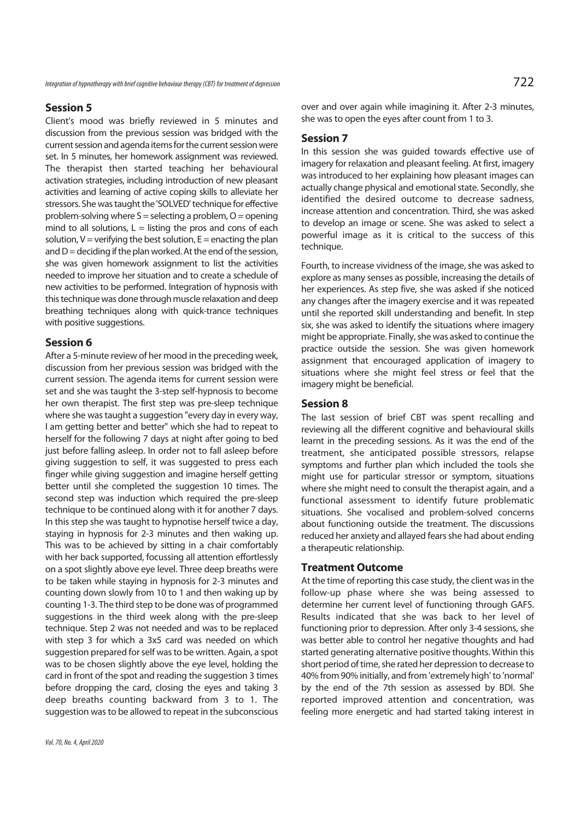Integration of hypnotherapy with brief cognitive behaviour therapy (CBT) for treatment of depression  $722$ 

## **Session 5**

Client's mood was briefly reviewed in 5 minutes and discussion from the previous session was bridged with the current session and agenda items for the current session were set. In 5 minutes, her homework assignment was reviewed. The therapist then started teaching her behavioural activation strategies, including introduction of new pleasant activities and learning of active coping skills to alleviate her stressors. She was taught the 'SOLVED' technique for effective problem-solving where  $S =$  selecting a problem,  $O =$  opening mind to all solutions,  $L =$  listing the pros and cons of each solution,  $V =$  verifying the best solution,  $E =$  enacting the plan and  $D =$  deciding if the plan worked. At the end of the session, she was given homework assignment to list the activities needed to improve her situation and to create a schedule of new activities to be performed. Integration of hypnosis with this technique was done through muscle relaxation and deep breathing techniques along with quick-trance techniques with positive suggestions.

## **Session 6**

After a 5-minute review of her mood in the preceding week, discussion from her previous session was bridged with the current session. The agenda items for current session were set and she was taught the 3-step self-hypnosis to become her own therapist. The first step was pre-sleep technique where she was taught a suggestion "every day in every way, I am getting better and better" which she had to repeat to herself for the following 7 days at night after going to bed just before falling asleep. In order not to fall asleep before giving suggestion to self, it was suggested to press each finger while giving suggestion and imagine herself getting better until she completed the suggestion 10 times. The second step was induction which required the pre-sleep technique to be continued along with it for another 7 days. In this step she was taught to hypnotise herself twice a day, staying in hypnosis for 2-3 minutes and then waking up. This was to be achieved by sitting in a chair comfortably with her back supported, focussing all attention effortlessly on a spot slightly above eye level. Three deep breaths were to be taken while staying in hypnosis for 2-3 minutes and counting down slowly from 10 to 1 and then waking up by counting 1-3. The third step to be done was of programmed suggestions in the third week along with the pre-sleep technique. Step 2 was not needed and was to be replaced with step 3 for which a 3x5 card was needed on which suggestion prepared for self was to be written. Again, a spot was to be chosen slightly above the eye level, holding the card in front of the spot and reading the suggestion 3 times before dropping the card, closing the eyes and taking 3 deep breaths counting backward from 3 to 1. The suggestion was to be allowed to repeat in the subconscious over and over again while imagining it. After 2-3 minutes, she was to open the eyes after count from 1 to 3.

## **Session 7**

In this session she was guided towards effective use of imagery for relaxation and pleasant feeling. At first, imagery was introduced to her explaining how pleasant images can actually change physical and emotional state. Secondly, she identified the desired outcome to decrease sadness, increase attention and concentration. Third, she was asked to develop an image or scene. She was asked to select a powerful image as it is critical to the success of this technique.

Fourth, to increase vividness of the image, she was asked to explore as many senses as possible, increasing the details of her experiences. As step five, she was asked if she noticed any changes after the imagery exercise and it was repeated until she reported skill understanding and benefit. In step six, she was asked to identify the situations where imagery might be appropriate. Finally, she was asked to continue the practice outside the session. She was given homework assignment that encouraged application of imagery to situations where she might feel stress or feel that the imagery might be beneficial.

#### **Session 8**

The last session of brief CBT was spent recalling and reviewing all the different cognitive and behavioural skills learnt in the preceding sessions. As it was the end of the treatment, she anticipated possible stressors, relapse symptoms and further plan which included the tools she might use for particular stressor or symptom, situations where she might need to consult the therapist again, and a functional assessment to identify future problematic situations. She vocalised and problem-solved concerns about functioning outside the treatment. The discussions reduced her anxiety and allayed fears she had about ending a therapeutic relationship.

#### **Treatment Outcome**

At the time of reporting this case study, the client was in the follow-up phase where she was being assessed to determine her current level of functioning through GAFS. Results indicated that she was back to her level of functioning prior to depression. After only 3-4 sessions, she was better able to control her negative thoughts and had started generating alternative positive thoughts. Within this short period of time, she rated her depression to decrease to 40% from 90% initially, and from 'extremely high' to 'normal' by the end of the 7th session as assessed by BDI. She reported improved attention and concentration, was feeling more energetic and had started taking interest in